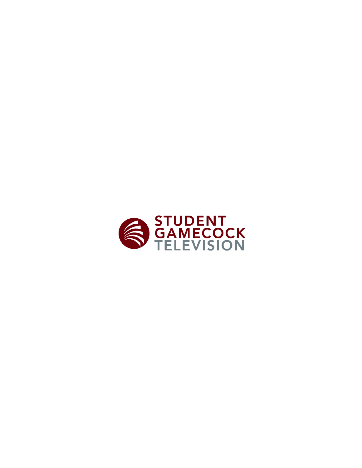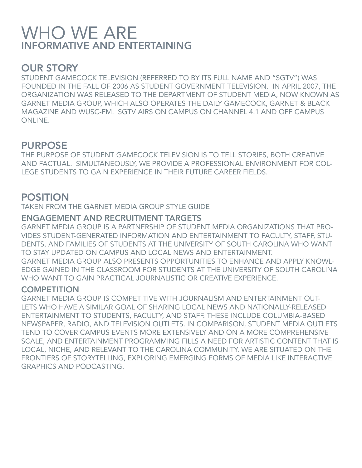# WHO WE ARE INFORMATIVE AND ENTERTAINING

## OUR STORY

STUDENT GAMECOCK TELEVISION (REFERRED TO BY ITS FULL NAME AND "SGTV") WAS FOUNDED IN THE FALL OF 2006 AS STUDENT GOVERNMENT TELEVISION. IN APRIL 2007, THE ORGANIZATION WAS RELEASED TO THE DEPARTMENT OF STUDENT MEDIA, NOW KNOWN AS GARNET MEDIA GROUP, WHICH ALSO OPERATES THE DAILY GAMECOCK, GARNET & BLACK MAGAZINE AND WUSC-FM. SGTV AIRS ON CAMPUS ON CHANNEL 4.1 AND OFF CAMPUS ONLINE.

## PURPOSE

THE PURPOSE OF STUDENT GAMECOCK TELEVISION IS TO TELL STORIES, BOTH CREATIVE AND FACTUAL. SIMULTANEOUSLY, WE PROVIDE A PROFESSIONAL ENVIRONMENT FOR COL-LEGE STUDENTS TO GAIN EXPERIENCE IN THEIR FUTURE CAREER FIELDS.

## POSITION

TAKEN FROM THE GARNET MEDIA GROUP STYLE GUIDE

### ENGAGEMENT AND RECRUITMENT TARGETS

GARNET MEDIA GROUP IS A PARTNERSHIP OF STUDENT MEDIA ORGANIZATIONS THAT PRO-VIDES STUDENT-GENERATED INFORMATION AND ENTERTAINMENT TO FACULTY, STAFF, STU-DENTS, AND FAMILIES OF STUDENTS AT THE UNIVERSITY OF SOUTH CAROLINA WHO WANT TO STAY UPDATED ON CAMPUS AND LOCAL NEWS AND ENTERTAINMENT. GARNET MEDIA GROUP ALSO PRESENTS OPPORTUNITIES TO ENHANCE AND APPLY KNOWL-EDGE GAINED IN THE CLASSROOM FOR STUDENTS AT THE UNIVERSITY OF SOUTH CAROLINA WHO WANT TO GAIN PRACTICAL JOURNALISTIC OR CREATIVE EXPERIENCE.

#### **COMPETITION**

GARNET MEDIA GROUP IS COMPETITIVE WITH JOURNALISM AND ENTERTAINMENT OUT-LETS WHO HAVE A SIMILAR GOAL OF SHARING LOCAL NEWS AND NATIONALLY-RELEASED ENTERTAINMENT TO STUDENTS, FACULTY, AND STAFF. THESE INCLUDE COLUMBIA-BASED NEWSPAPER, RADIO, AND TELEVISION OUTLETS. IN COMPARISON, STUDENT MEDIA OUTLETS TEND TO COVER CAMPUS EVENTS MORE EXTENSIVELY AND ON A MORE COMPREHENSIVE SCALE, AND ENTERTAINMENT PROGRAMMING FILLS A NEED FOR ARTISTIC CONTENT THAT IS LOCAL, NICHE, AND RELEVANT TO THE CAROLINA COMMUNITY. WE ARE SITUATED ON THE FRONTIERS OF STORYTELLING, EXPLORING EMERGING FORMS OF MEDIA LIKE INTERACTIVE GRAPHICS AND PODCASTING.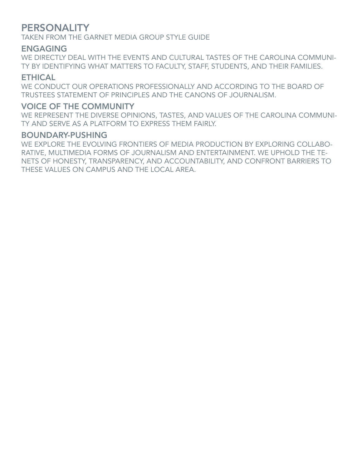## **PERSONALITY**

TAKEN FROM THE GARNET MEDIA GROUP STYLE GUIDE

#### ENGAGING

WE DIRECTLY DEAL WITH THE EVENTS AND CULTURAL TASTES OF THE CAROLINA COMMUNI-TY BY IDENTIFYING WHAT MATTERS TO FACULTY, STAFF, STUDENTS, AND THEIR FAMILIES.

#### ETHICAL

WE CONDUCT OUR OPERATIONS PROFESSIONALLY AND ACCORDING TO THE BOARD OF TRUSTEES STATEMENT OF PRINCIPLES AND THE CANONS OF JOURNALISM.

#### VOICE OF THE COMMUNITY

WE REPRESENT THE DIVERSE OPINIONS, TASTES, AND VALUES OF THE CAROLINA COMMUNI-TY AND SERVE AS A PLATFORM TO EXPRESS THEM FAIRLY.

#### BOUNDARY-PUSHING

WE EXPLORE THE EVOLVING FRONTIERS OF MEDIA PRODUCTION BY EXPLORING COLLABO-RATIVE, MULTIMEDIA FORMS OF JOURNALISM AND ENTERTAINMENT. WE UPHOLD THE TE-NETS OF HONESTY, TRANSPARENCY, AND ACCOUNTABILITY, AND CONFRONT BARRIERS TO THESE VALUES ON CAMPUS AND THE LOCAL AREA.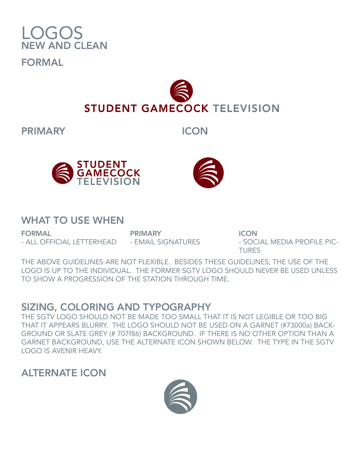

**STUDENT GAMECOCK TELEVISION** 

PRIMARY ICON



## WHAT TO USE WHEN

FORMAL - ALL OFFICIAL LETTERHEAD - EMAIL SIGNATURES

PRIMARY

**ICON** - SOCIAL MEDIA PROFILE PIC-TURES

THE ABOVE GUIDELINES ARE NOT FLEXIBLE. BESIDES THESE GUIDELINES, THE USE OF THE LOGO IS UP TO THE INDIVIDUAL. THE FORMER SGTV LOGO SHOULD NEVER BE USED UNLESS TO SHOW A PROGRESSION OF THE STATION THROUGH TIME.

## SIZING, COLORING AND TYPOGRAPHY

THE SGTV LOGO SHOULD NOT BE MADE TOO SMALL THAT IT IS NOT LEGIBLE OR TOO BIG THAT IT APPEARS BLURRY. THE LOGO SHOULD NOT BE USED ON A GARNET (#73000a) BACK-GROUND OR SLATE GREY (# 707f86) BACKGROUND. IF THERE IS NO OTHER OPTION THAN A GARNET BACKGROUND, USE THE ALTERNATE ICON SHOWN BELOW. THE TYPE IN THE SGTV LOGO IS AVENIR HEAVY.

## ALTERNATE ICON

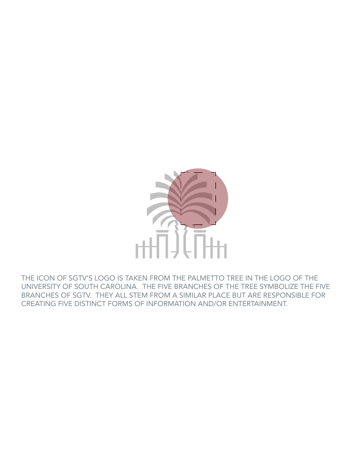

THE ICON OF SGTV'S LOGO IS TAKEN FROM THE PALMETTO TREE IN THE LOGO OF THE UNIVERSITY OF SOUTH CAROLINA. THE FIVE BRANCHES OF THE TREE SYMBOLIZE THE FIVE BRANCHES OF SGTV. THEY ALL STEM FROM A SIMILAR PLACE BUT ARE RESPONSIBLE FOR CREATING FIVE DISTINCT FORMS OF INFORMATION AND/OR ENTERTAINMENT.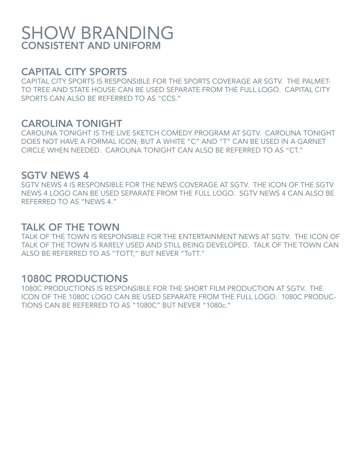# SHOW BRANDING CONSISTENT AND UNIFORM

## CAPITAL CITY SPORTS

CAPITAL CITY SPORTS IS RESPONSIBLE FOR THE SPORTS COVERAGE AR SGTV. THE PALMET-TO TREE AND STATE HOUSE CAN BE USED SEPARATE FROM THE FULL LOGO. CAPITAL CITY SPORTS CAN ALSO BE REFERRED TO AS "CCS."

## CAROLINA TONIGHT

CAROLINA TONIGHT IS THE LIVE SKETCH COMEDY PROGRAM AT SGTV. CAROLINA TONIGHT DOES NOT HAVE A FORMAL ICON, BUT A WHITE "C" AND "T" CAN BE USED IN A GARNET CIRCLE WHEN NEEDED. CAROLINA TONIGHT CAN ALSO BE REFERRED TO AS "CT."

## SGTV NEWS 4

SGTV NEWS 4 IS RESPONSIBLE FOR THE NEWS COVERAGE AT SGTV. THE ICON OF THE SGTV NEWS 4 LOGO CAN BE USED SEPARATE FROM THE FULL LOGO. SGTV NEWS 4 CAN ALSO BE REFERRED TO AS "NEWS 4."

## TALK OF THE TOWN

TALK OF THE TOWN IS RESPONSIBLE FOR THE ENTERTAINMENT NEWS AT SGTV. THE ICON OF TALK OF THE TOWN IS RARELY USED AND STILL BEING DEVELOPED. TALK OF THE TOWN CAN ALSO BE REFERRED TO AS "TOTT," BUT NEVER "ToTT."

## 1080C PRODUCTIONS

1080C PRODUCTIONS IS RESPONSIBLE FOR THE SHORT FILM PRODUCTION AT SGTV. THE ICON OF THE 1080C LOGO CAN BE USED SEPARATE FROM THE FULL LOGO. 1080C PRODUC-TIONS CAN BE REFERRED TO AS "1080C" BUT NEVER "1080c."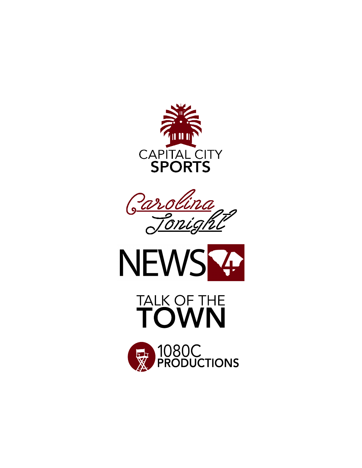





# TALK OF THE TOWN

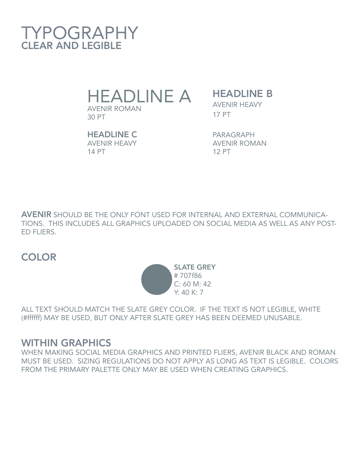

HEADLINE A

AVENIR ROMAN 30 PT

**HEADLINE B** AVENIR HEAVY 17 PT

HEADLINE C AVENIR HEAVY 14 PT

PARAGRAPH AVENIR ROMAN 12 PT

AVENIR SHOULD BE THE ONLY FONT USED FOR INTERNAL AND EXTERNAL COMMUNICA-TIONS. THIS INCLUDES ALL GRAPHICS UPLOADED ON SOCIAL MEDIA AS WELL AS ANY POST-ED FLIERS.

## **COLOR**



ALL TEXT SHOULD MATCH THE SLATE GREY COLOR. IF THE TEXT IS NOT LEGIBLE, WHITE (#ffffff) MAY BE USED, BUT ONLY AFTER SLATE GREY HAS BEEN DEEMED UNUSABLE.

## WITHIN GRAPHICS

WHEN MAKING SOCIAL MEDIA GRAPHICS AND PRINTED FLIERS, AVENIR BLACK AND ROMAN MUST BE USED. SIZING REGULATIONS DO NOT APPLY AS LONG AS TEXT IS LEGIBLE. COLORS FROM THE PRIMARY PALETTE ONLY MAY BE USED WHEN CREATING GRAPHICS.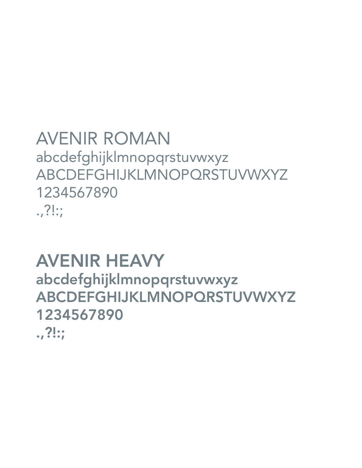# AVENIR ROMAN abcdefghijklmnopqrstuvwxyz ABCDEFGHIJKLMNOPQRSTUVWXYZ 1234567890 .,?!:;

# AVENIR HEAVY

abcdefghijklmnopqrstuvwxyz ABCDEFGHIJKLMNOPQRSTUVWXYZ 1234567890

.,?!:;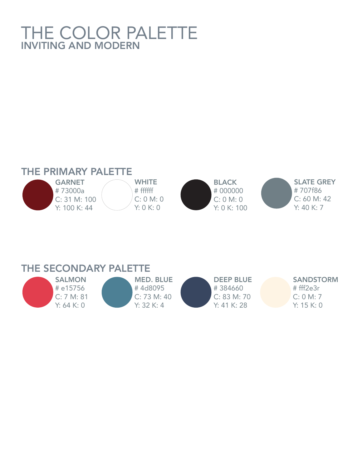# THE COLOR PALETTE INVITING AND MODERN



|  | THE SECONDARY PALETTE |
|--|-----------------------|
|  |                       |

| <b>SALMON</b> | <b>MED. BLUE</b> | <b>DEEP BLUE</b> | <b>SANDSTORM</b> |
|---------------|------------------|------------------|------------------|
| # e15756      | #4d8095          | #384660          | # fff2e3r        |
| C: 7 M: 81    | C: 73 M: 40      | C: 83 M: 70      | C: 0 M: 7        |
| Y: 64 K: 0    | Y: 32 K: 4       | Y: 41 K: 28      | Y: 15K:0         |